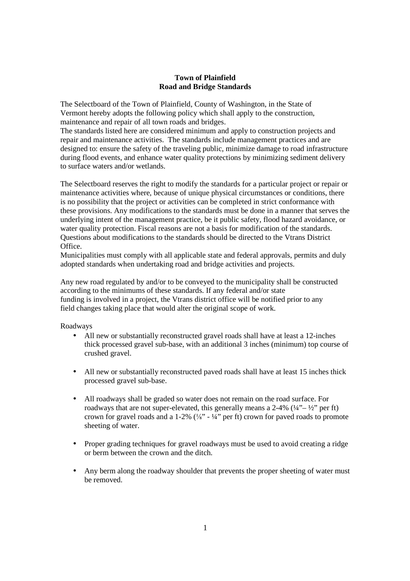# **Town of Plainfield Road and Bridge Standards**

The Selectboard of the Town of Plainfield, County of Washington, in the State of Vermont hereby adopts the following policy which shall apply to the construction, maintenance and repair of all town roads and bridges.

The standards listed here are considered minimum and apply to construction projects and repair and maintenance activities. The standards include management practices and are designed to: ensure the safety of the traveling public, minimize damage to road infrastructure during flood events, and enhance water quality protections by minimizing sediment delivery to surface waters and/or wetlands.

The Selectboard reserves the right to modify the standards for a particular project or repair or maintenance activities where, because of unique physical circumstances or conditions, there is no possibility that the project or activities can be completed in strict conformance with these provisions. Any modifications to the standards must be done in a manner that serves the underlying intent of the management practice, be it public safety, flood hazard avoidance, or water quality protection. Fiscal reasons are not a basis for modification of the standards. Questions about modifications to the standards should be directed to the Vtrans District Office.

Municipalities must comply with all applicable state and federal approvals, permits and duly adopted standards when undertaking road and bridge activities and projects.

Any new road regulated by and/or to be conveyed to the municipality shall be constructed according to the minimums of these standards. If any federal and/or state funding is involved in a project, the Vtrans district office will be notified prior to any field changes taking place that would alter the original scope of work.

# Roadways

- All new or substantially reconstructed gravel roads shall have at least a 12-inches thick processed gravel sub-base, with an additional 3 inches (minimum) top course of crushed gravel.
- All new or substantially reconstructed paved roads shall have at least 15 inches thick processed gravel sub-base.
- All roadways shall be graded so water does not remain on the road surface. For roadways that are not super-elevated, this generally means a  $2-4\%$  ( $\frac{1}{4}$  –  $\frac{1}{2}$  per ft) crown for gravel roads and a 1-2%  $(\frac{1}{8} - \frac{1}{4})$  per ft) crown for paved roads to promote sheeting of water.
- Proper grading techniques for gravel roadways must be used to avoid creating a ridge or berm between the crown and the ditch.
- Any berm along the roadway shoulder that prevents the proper sheeting of water must be removed.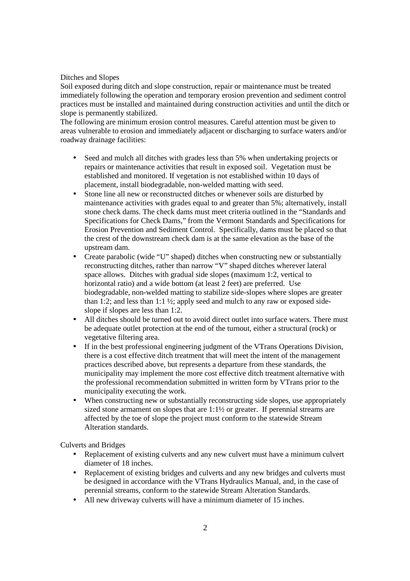# Ditches and Slopes

Soil exposed during ditch and slope construction, repair or maintenance must be treated immediately following the operation and temporary erosion prevention and sediment control practices must be installed and maintained during construction activities and until the ditch or slope is permanently stabilized.

The following are minimum erosion control measures. Careful attention must be given to areas vulnerable to erosion and immediately adjacent or discharging to surface waters and/or roadway drainage facilities:

- Seed and mulch all ditches with grades less than 5% when undertaking projects or repairs or maintenance activities that result in exposed soil. Vegetation must be established and monitored. If vegetation is not established within 10 days of placement, install biodegradable, non-welded matting with seed.
- Stone line all new or reconstructed ditches or whenever soils are disturbed by maintenance activities with grades equal to and greater than 5%; alternatively, install stone check dams. The check dams must meet criteria outlined in the "Standards and Specifications for Check Dams," from the Vermont Standards and Specifications for Erosion Prevention and Sediment Control. Specifically, dams must be placed so that the crest of the downstream check dam is at the same elevation as the base of the upstream dam.
- Create parabolic (wide "U" shaped) ditches when constructing new or substantially reconstructing ditches, rather than narrow "V" shaped ditches wherever lateral space allows. Ditches with gradual side slopes (maximum 1:2, vertical to horizontal ratio) and a wide bottom (at least 2 feet) are preferred. Use biodegradable, non-welded matting to stabilize side-slopes where slopes are greater than 1:2; and less than 1:1 ½; apply seed and mulch to any raw or exposed sideslope if slopes are less than 1:2.
- All ditches should be turned out to avoid direct outlet into surface waters. There must be adequate outlet protection at the end of the turnout, either a structural (rock) or vegetative filtering area.
- If in the best professional engineering judgment of the VTrans Operations Division, there is a cost effective ditch treatment that will meet the intent of the management practices described above, but represents a departure from these standards, the municipality may implement the more cost effective ditch treatment alternative with the professional recommendation submitted in written form by VTrans prior to the municipality executing the work.
- When constructing new or substantially reconstructing side slopes, use appropriately sized stone armament on slopes that are 1:1½ or greater. If perennial streams are affected by the toe of slope the project must conform to the statewide Stream Alteration standards.

Culverts and Bridges

- Replacement of existing culverts and any new culvert must have a minimum culvert diameter of 18 inches.
- Replacement of existing bridges and culverts and any new bridges and culverts must be designed in accordance with the VTrans Hydraulics Manual, and, in the case of perennial streams, conform to the statewide Stream Alteration Standards.
- All new driveway culverts will have a minimum diameter of 15 inches.